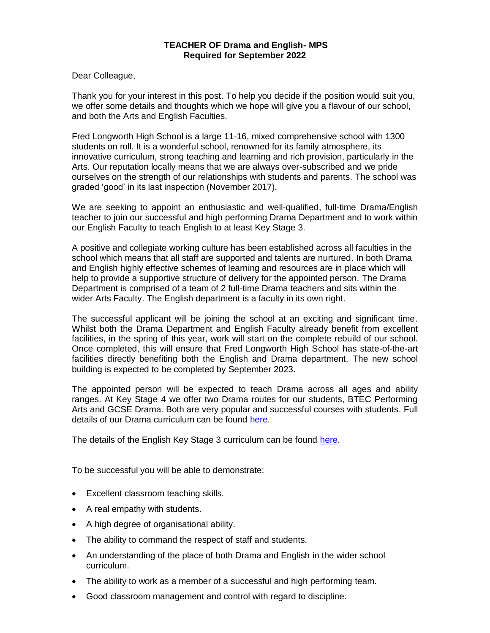### **TEACHER OF Drama and English- MPS Required for September 2022**

Dear Colleague,

Thank you for your interest in this post. To help you decide if the position would suit you, we offer some details and thoughts which we hope will give you a flavour of our school, and both the Arts and English Faculties.

Fred Longworth High School is a large 11-16, mixed comprehensive school with 1300 students on roll. It is a wonderful school, renowned for its family atmosphere, its innovative curriculum, strong teaching and learning and rich provision, particularly in the Arts. Our reputation locally means that we are always over-subscribed and we pride ourselves on the strength of our relationships with students and parents. The school was graded 'good' in its last inspection (November 2017).

We are seeking to appoint an enthusiastic and well-qualified, full-time Drama/English teacher to join our successful and high performing Drama Department and to work within our English Faculty to teach English to at least Key Stage 3.

A positive and collegiate working culture has been established across all faculties in the school which means that all staff are supported and talents are nurtured. In both Drama and English highly effective schemes of learning and resources are in place which will help to provide a supportive structure of delivery for the appointed person. The Drama Department is comprised of a team of 2 full-time Drama teachers and sits within the wider Arts Faculty. The English department is a faculty in its own right.

The successful applicant will be joining the school at an exciting and significant time. Whilst both the Drama Department and English Faculty already benefit from excellent facilities, in the spring of this year, work will start on the complete rebuild of our school. Once completed, this will ensure that Fred Longworth High School has state-of-the-art facilities directly benefiting both the English and Drama department. The new school building is expected to be completed by September 2023.

The appointed person will be expected to teach Drama across all ages and ability ranges. At Key Stage 4 we offer two Drama routes for our students, BTEC Performing Arts and GCSE Drama. Both are very popular and successful courses with students. Full details of our Drama curriculum can be found [here.](https://flhs.org.uk/faculties/arts/)

The details of the English Key Stage 3 curriculum can be found [here.](https://flhs.org.uk/faculties/english/)

To be successful you will be able to demonstrate:

- Excellent classroom teaching skills.
- A real empathy with students.
- A high degree of organisational ability.
- The ability to command the respect of staff and students.
- An understanding of the place of both Drama and English in the wider school curriculum.
- The ability to work as a member of a successful and high performing team.
- Good classroom management and control with regard to discipline.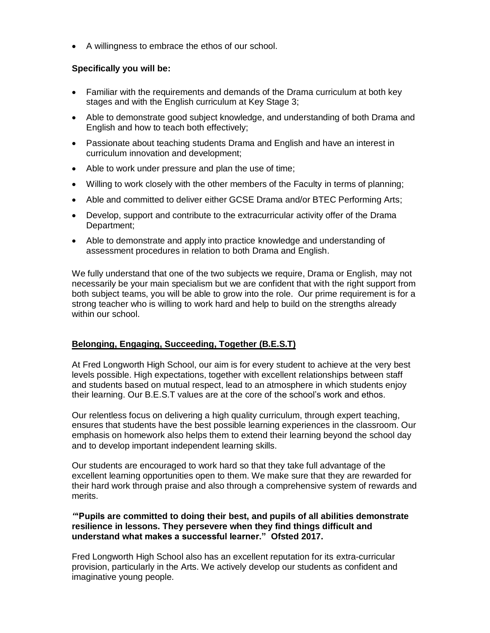A willingness to embrace the ethos of our school.

# **Specifically you will be:**

- Familiar with the requirements and demands of the Drama curriculum at both key stages and with the English curriculum at Key Stage 3;
- Able to demonstrate good subject knowledge, and understanding of both Drama and English and how to teach both effectively;
- Passionate about teaching students Drama and English and have an interest in curriculum innovation and development;
- Able to work under pressure and plan the use of time;
- Willing to work closely with the other members of the Faculty in terms of planning;
- Able and committed to deliver either GCSE Drama and/or BTEC Performing Arts;
- Develop, support and contribute to the extracurricular activity offer of the Drama Department;
- Able to demonstrate and apply into practice knowledge and understanding of assessment procedures in relation to both Drama and English.

We fully understand that one of the two subjects we require, Drama or English, may not necessarily be your main specialism but we are confident that with the right support from both subject teams, you will be able to grow into the role. Our prime requirement is for a strong teacher who is willing to work hard and help to build on the strengths already within our school.

### **Belonging, Engaging, Succeeding, Together (B.E.S.T)**

At Fred Longworth High School, our aim is for every student to achieve at the very best levels possible. High expectations, together with excellent relationships between staff and students based on mutual respect, lead to an atmosphere in which students enjoy their learning. Our B.E.S.T values are at the core of the school's work and ethos.

Our relentless focus on delivering a high quality curriculum, through expert teaching, ensures that students have the best possible learning experiences in the classroom. Our emphasis on homework also helps them to extend their learning beyond the school day and to develop important independent learning skills.

Our students are encouraged to work hard so that they take full advantage of the excellent learning opportunities open to them. We make sure that they are rewarded for their hard work through praise and also through a comprehensive system of rewards and merits.

## *"***'Pupils are committed to doing their best, and pupils of all abilities demonstrate resilience in lessons. They persevere when they find things difficult and understand what makes a successful learner." Ofsted 2017.**

Fred Longworth High School also has an excellent reputation for its extra-curricular provision, particularly in the Arts. We actively develop our students as confident and imaginative young people.